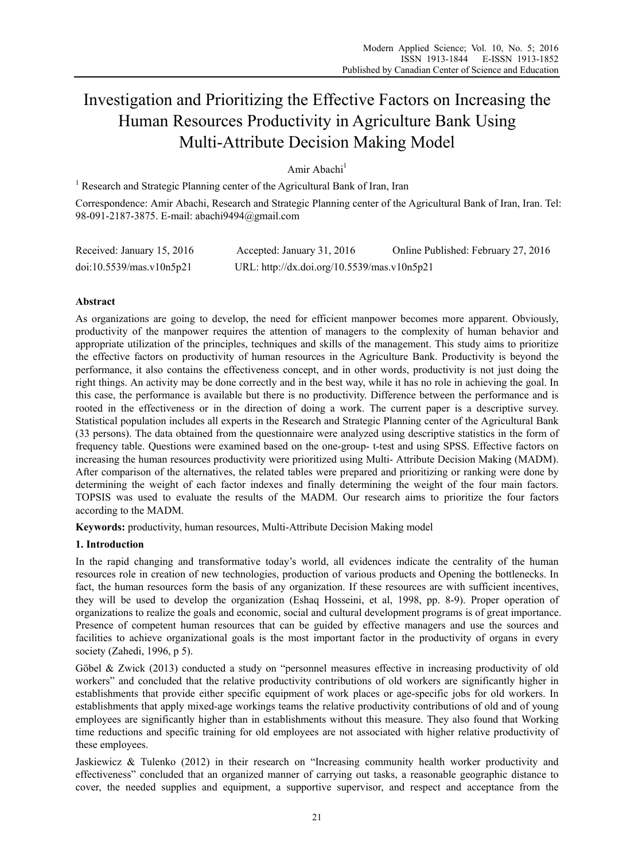# Investigation and Prioritizing the Effective Factors on Increasing the Human Resources Productivity in Agriculture Bank Using Multi-Attribute Decision Making Model

# Amir Abachi<sup>1</sup>

<sup>1</sup> Research and Strategic Planning center of the Agricultural Bank of Iran, Iran

Correspondence: Amir Abachi, Research and Strategic Planning center of the Agricultural Bank of Iran, Iran. Tel: 98-091-2187-3875. E-mail: abachi9494@gmail.com

| Received: January 15, 2016 | Accepted: January 31, 2016                  | Online Published: February 27, 2016 |
|----------------------------|---------------------------------------------|-------------------------------------|
| doi:10.5539/mas.v10n5p21   | URL: http://dx.doi.org/10.5539/mas.v10n5p21 |                                     |

# **Abstract**

As organizations are going to develop, the need for efficient manpower becomes more apparent. Obviously, productivity of the manpower requires the attention of managers to the complexity of human behavior and appropriate utilization of the principles, techniques and skills of the management. This study aims to prioritize the effective factors on productivity of human resources in the Agriculture Bank. Productivity is beyond the performance, it also contains the effectiveness concept, and in other words, productivity is not just doing the right things. An activity may be done correctly and in the best way, while it has no role in achieving the goal. In this case, the performance is available but there is no productivity. Difference between the performance and is rooted in the effectiveness or in the direction of doing a work. The current paper is a descriptive survey. Statistical population includes all experts in the Research and Strategic Planning center of the Agricultural Bank (33 persons). The data obtained from the questionnaire were analyzed using descriptive statistics in the form of frequency table. Questions were examined based on the one-group- t-test and using SPSS. Effective factors on increasing the human resources productivity were prioritized using Multi- Attribute Decision Making (MADM). After comparison of the alternatives, the related tables were prepared and prioritizing or ranking were done by determining the weight of each factor indexes and finally determining the weight of the four main factors. TOPSIS was used to evaluate the results of the MADM. Our research aims to prioritize the four factors according to the MADM.

**Keywords:** productivity, human resources, Multi-Attribute Decision Making model

# **1. Introduction**

In the rapid changing and transformative today's world, all evidences indicate the centrality of the human resources role in creation of new technologies, production of various products and Opening the bottlenecks. In fact, the human resources form the basis of any organization. If these resources are with sufficient incentives, they will be used to develop the organization (Eshaq Hosseini, et al, 1998, pp. 8-9). Proper operation of organizations to realize the goals and economic, social and cultural development programs is of great importance. Presence of competent human resources that can be guided by effective managers and use the sources and facilities to achieve organizational goals is the most important factor in the productivity of organs in every society (Zahedi, 1996, p 5).

Göbel & Zwick (2013) conducted a study on "personnel measures effective in increasing productivity of old workers" and concluded that the relative productivity contributions of old workers are significantly higher in establishments that provide either specific equipment of work places or age-specific jobs for old workers. In establishments that apply mixed-age workings teams the relative productivity contributions of old and of young employees are significantly higher than in establishments without this measure. They also found that Working time reductions and specific training for old employees are not associated with higher relative productivity of these employees.

Jaskiewicz & Tulenko (2012) in their research on "Increasing community health worker productivity and effectiveness" concluded that an organized manner of carrying out tasks, a reasonable geographic distance to cover, the needed supplies and equipment, a supportive supervisor, and respect and acceptance from the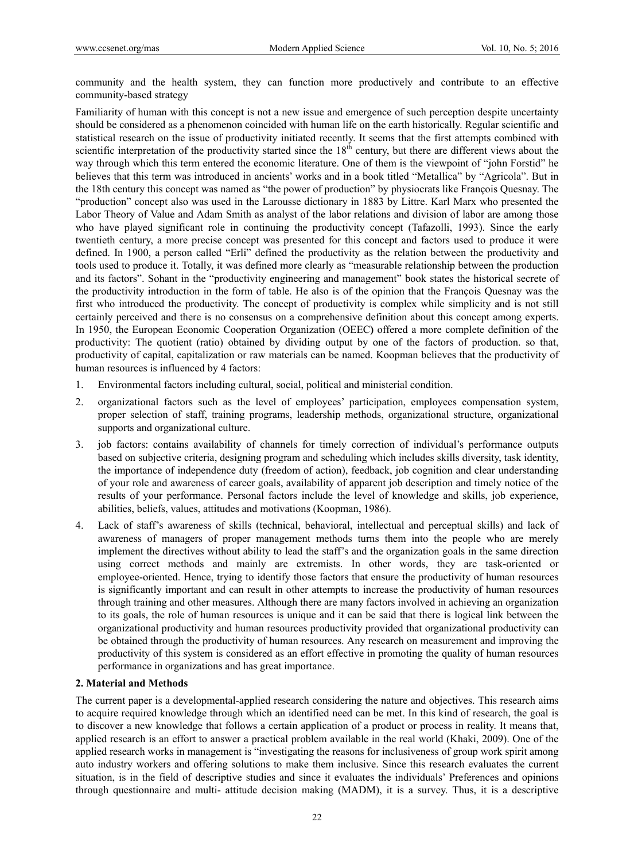community and the health system, they can function more productively and contribute to an effective community-based strategy

Familiarity of human with this concept is not a new issue and emergence of such perception despite uncertainty should be considered as a phenomenon coincided with human life on the earth historically. Regular scientific and statistical research on the issue of productivity initiated recently. It seems that the first attempts combined with scientific interpretation of the productivity started since the  $18<sup>th</sup>$  century, but there are different views about the way through which this term entered the economic literature. One of them is the viewpoint of "john Forstid" he believes that this term was introduced in ancients' works and in a book titled "Metallica" by "Agricola". But in the 18th century this concept was named as "the power of production" by physiocrats like François Quesnay. The "production" concept also was used in the Larousse dictionary in 1883 by Littre. Karl Marx who presented the Labor Theory of Value and Adam Smith as analyst of the labor relations and division of labor are among those who have played significant role in continuing the productivity concept (Tafazolli, 1993). Since the early twentieth century, a more precise concept was presented for this concept and factors used to produce it were defined. In 1900, a person called "Erli" defined the productivity as the relation between the productivity and tools used to produce it. Totally, it was defined more clearly as "measurable relationship between the production and its factors". Sohant in the "productivity engineering and management" book states the historical secrete of the productivity introduction in the form of table. He also is of the opinion that the François Quesnay was the first who introduced the productivity. The concept of productivity is complex while simplicity and is not still certainly perceived and there is no consensus on a comprehensive definition about this concept among experts. In 1950, the European Economic Cooperation Organization (OEEC**)** offered a more complete definition of the productivity: The quotient (ratio) obtained by dividing output by one of the factors of production. so that, productivity of capital, capitalization or raw materials can be named. Koopman believes that the productivity of human resources is influenced by 4 factors:

- 1. Environmental factors including cultural, social, political and ministerial condition.
- 2. organizational factors such as the level of employees' participation, employees compensation system, proper selection of staff, training programs, leadership methods, organizational structure, organizational supports and organizational culture.
- 3. job factors: contains availability of channels for timely correction of individual's performance outputs based on subjective criteria, designing program and scheduling which includes skills diversity, task identity, the importance of independence duty (freedom of action), feedback, job cognition and clear understanding of your role and awareness of career goals, availability of apparent job description and timely notice of the results of your performance. Personal factors include the level of knowledge and skills, job experience, abilities, beliefs, values, attitudes and motivations (Koopman, 1986).
- 4. Lack of staff's awareness of skills (technical, behavioral, intellectual and perceptual skills) and lack of awareness of managers of proper management methods turns them into the people who are merely implement the directives without ability to lead the staff's and the organization goals in the same direction using correct methods and mainly are extremists. In other words, they are task-oriented or employee-oriented. Hence, trying to identify those factors that ensure the productivity of human resources is significantly important and can result in other attempts to increase the productivity of human resources through training and other measures. Although there are many factors involved in achieving an organization to its goals, the role of human resources is unique and it can be said that there is logical link between the organizational productivity and human resources productivity provided that organizational productivity can be obtained through the productivity of human resources. Any research on measurement and improving the productivity of this system is considered as an effort effective in promoting the quality of human resources performance in organizations and has great importance.

### **2. Material and Methods**

The current paper is a developmental-applied research considering the nature and objectives. This research aims to acquire required knowledge through which an identified need can be met. In this kind of research, the goal is to discover a new knowledge that follows a certain application of a product or process in reality. It means that, applied research is an effort to answer a practical problem available in the real world (Khaki, 2009). One of the applied research works in management is "investigating the reasons for inclusiveness of group work spirit among auto industry workers and offering solutions to make them inclusive. Since this research evaluates the current situation, is in the field of descriptive studies and since it evaluates the individuals' Preferences and opinions through questionnaire and multi- attitude decision making (MADM), it is a survey. Thus, it is a descriptive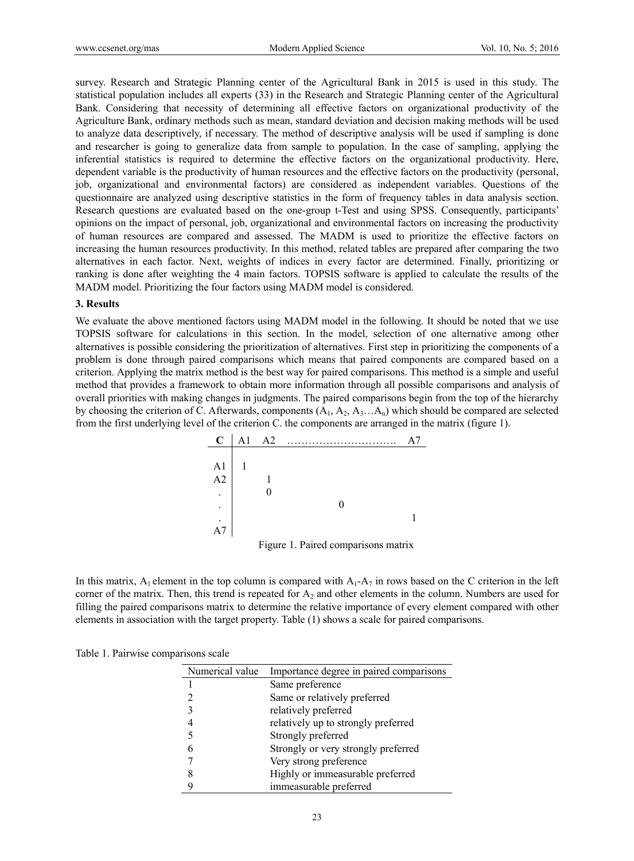survey. Research and Strategic Planning center of the Agricultural Bank in 2015 is used in this study. The statistical population includes all experts (33) in the Research and Strategic Planning center of the Agricultural Bank. Considering that necessity of determining all effective factors on organizational productivity of the Agriculture Bank, ordinary methods such as mean, standard deviation and decision making methods will be used to analyze data descriptively, if necessary. The method of descriptive analysis will be used if sampling is done and researcher is going to generalize data from sample to population. In the case of sampling, applying the inferential statistics is required to determine the effective factors on the organizational productivity. Here, dependent variable is the productivity of human resources and the effective factors on the productivity (personal, job, organizational and environmental factors) are considered as independent variables. Questions of the questionnaire are analyzed using descriptive statistics in the form of frequency tables in data analysis section. Research questions are evaluated based on the one-group t-Test and using SPSS. Consequently, participants' opinions on the impact of personal, job, organizational and environmental factors on increasing the productivity of human resources are compared and assessed. The MADM is used to prioritize the effective factors on increasing the human resources productivity. In this method, related tables are prepared after comparing the two alternatives in each factor. Next, weights of indices in every factor are determined. Finally, prioritizing or ranking is done after weighting the 4 main factors. TOPSIS software is applied to calculate the results of the MADM model. Prioritizing the four factors using MADM model is considered.

#### **3. Results**

We evaluate the above mentioned factors using MADM model in the following. It should be noted that we use TOPSIS software for calculations in this section. In the model, selection of one alternative among other alternatives is possible considering the prioritization of alternatives. First step in prioritizing the components of a problem is done through paired comparisons which means that paired components are compared based on a criterion. Applying the matrix method is the best way for paired comparisons. This method is a simple and useful method that provides a framework to obtain more information through all possible comparisons and analysis of overall priorities with making changes in judgments. The paired comparisons begin from the top of the hierarchy by choosing the criterion of C. Afterwards, components  $(A_1, A_2, A_3...A_n)$  which should be compared are selected from the first underlying level of the criterion C. the components are arranged in the matrix (figure 1).

| $\mathbf C$              | A1 | A2 | . |  |
|--------------------------|----|----|---|--|
|                          |    |    |   |  |
|                          |    |    |   |  |
| $\frac{A1}{A2}$          |    |    |   |  |
| $\bullet$                |    |    |   |  |
| $\bullet$                |    |    |   |  |
| $\overline{\phantom{a}}$ |    |    |   |  |
| A <sub>7</sub>           |    |    |   |  |

Figure 1. Paired comparisons matrix

In this matrix,  $A_1$  element in the top column is compared with  $A_1$ - $A_7$  in rows based on the C criterion in the left corner of the matrix. Then, this trend is repeated for  $A_2$  and other elements in the column. Numbers are used for filling the paired comparisons matrix to determine the relative importance of every element compared with other elements in association with the target property. Table (1) shows a scale for paired comparisons.

|  |  | Table 1. Pairwise comparisons scale |  |
|--|--|-------------------------------------|--|

| Numerical value | Importance degree in paired comparisons |
|-----------------|-----------------------------------------|
|                 | Same preference                         |
|                 | Same or relatively preferred            |
|                 | relatively preferred                    |
|                 | relatively up to strongly preferred     |
|                 | Strongly preferred                      |
|                 | Strongly or very strongly preferred     |
|                 | Very strong preference                  |
|                 | Highly or immeasurable preferred        |
|                 | immeasurable preferred                  |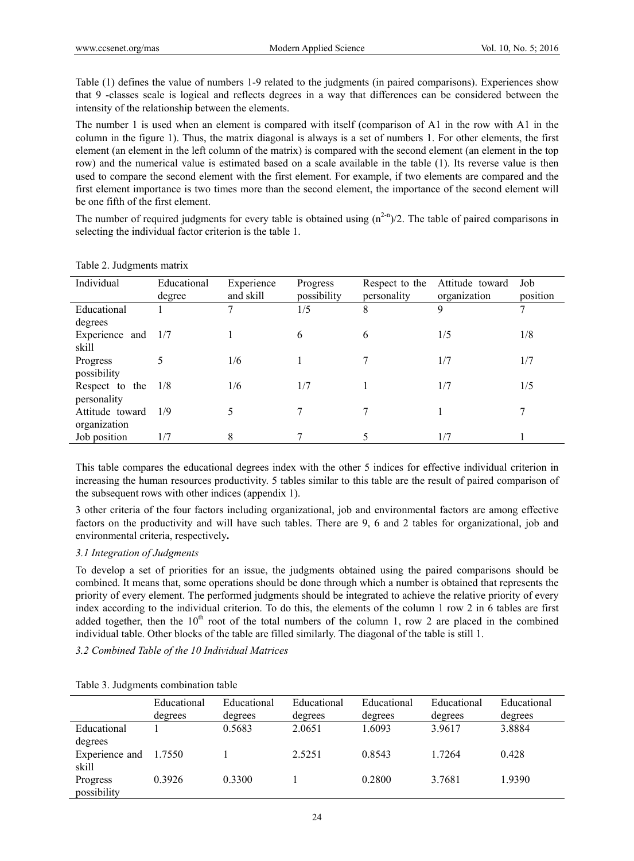Table (1) defines the value of numbers 1-9 related to the judgments (in paired comparisons). Experiences show that 9 -classes scale is logical and reflects degrees in a way that differences can be considered between the intensity of the relationship between the elements.

The number 1 is used when an element is compared with itself (comparison of A1 in the row with A1 in the column in the figure 1). Thus, the matrix diagonal is always is a set of numbers 1. For other elements, the first element (an element in the left column of the matrix) is compared with the second element (an element in the top row) and the numerical value is estimated based on a scale available in the table (1). Its reverse value is then used to compare the second element with the first element. For example, if two elements are compared and the first element importance is two times more than the second element, the importance of the second element will be one fifth of the first element.

The number of required judgments for every table is obtained using  $(n^{2-n})/2$ . The table of paired comparisons in selecting the individual factor criterion is the table 1.

| Individual          | Educational<br>degree | Experience<br>and skill | Progress<br>possibility | Respect to the<br>personality | Attitude toward<br>organization | Job<br>position |
|---------------------|-----------------------|-------------------------|-------------------------|-------------------------------|---------------------------------|-----------------|
| Educational         |                       |                         | 1/5                     | 8                             | 9                               | 7               |
| degrees             |                       |                         |                         |                               |                                 |                 |
| Experience and 1/7  |                       |                         | 6                       | 6                             | 1/5                             | 1/8             |
| skill               |                       |                         |                         |                               |                                 |                 |
| Progress            |                       | 1/6                     |                         |                               | 1/7                             | 1/7             |
| possibility         |                       |                         |                         |                               |                                 |                 |
| Respect to the 1/8  |                       | 1/6                     | 1/7                     |                               | 1/7                             | 1/5             |
| personality         |                       |                         |                         |                               |                                 |                 |
| Attitude toward 1/9 |                       |                         | 7                       |                               |                                 |                 |
| organization        |                       |                         |                         |                               |                                 |                 |
| Job position        | 1/7                   | 8                       |                         |                               | 1/7                             |                 |

Table 2. Judgments matrix

This table compares the educational degrees index with the other 5 indices for effective individual criterion in increasing the human resources productivity. 5 tables similar to this table are the result of paired comparison of the subsequent rows with other indices (appendix 1).

3 other criteria of the four factors including organizational, job and environmental factors are among effective factors on the productivity and will have such tables. There are 9, 6 and 2 tables for organizational, job and environmental criteria, respectively**.** 

### *3.1 Integration of Judgments*

To develop a set of priorities for an issue, the judgments obtained using the paired comparisons should be combined. It means that, some operations should be done through which a number is obtained that represents the priority of every element. The performed judgments should be integrated to achieve the relative priority of every index according to the individual criterion. To do this, the elements of the column 1 row 2 in 6 tables are first added together, then the  $10<sup>th</sup>$  root of the total numbers of the column 1, row 2 are placed in the combined individual table. Other blocks of the table are filled similarly. The diagonal of the table is still 1.

*3.2 Combined Table of the 10 Individual Matrices* 

|                | Educational<br>degrees | Educational<br>degrees | Educational<br>degrees | Educational<br>degrees | Educational<br>degrees | Educational<br>degrees |
|----------------|------------------------|------------------------|------------------------|------------------------|------------------------|------------------------|
|                |                        |                        |                        |                        |                        |                        |
| Educational    |                        | 0.5683                 | 2.0651                 | 1.6093                 | 3.9617                 | 3.8884                 |
| degrees        |                        |                        |                        |                        |                        |                        |
| Experience and | 1.7550                 |                        | 2.5251                 | 0.8543                 | 1.7264                 | 0.428                  |
| skill          |                        |                        |                        |                        |                        |                        |
| Progress       | 0.3926                 | 0.3300                 |                        | 0.2800                 | 3.7681                 | 1.9390                 |
| possibility    |                        |                        |                        |                        |                        |                        |

Table 3. Judgments combination table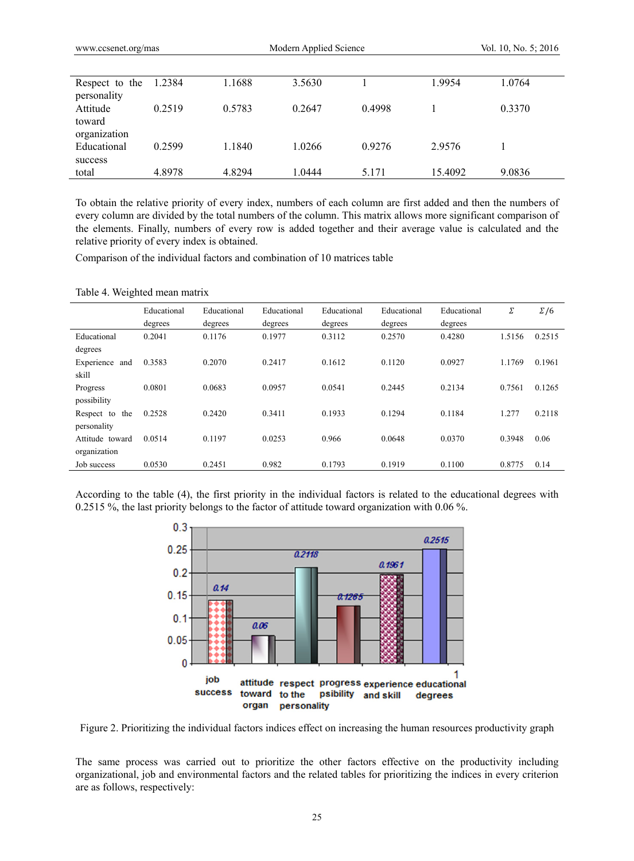| Respect to the | 1.2384 | 1.1688 | 3.5630 |        | 1.9954  | 1.0764 |
|----------------|--------|--------|--------|--------|---------|--------|
| personality    |        |        |        |        |         |        |
| Attitude       | 0.2519 | 0.5783 | 0.2647 | 0.4998 |         | 0.3370 |
| toward         |        |        |        |        |         |        |
| organization   |        |        |        |        |         |        |
| Educational    | 0.2599 | 1.1840 | 1.0266 | 0.9276 | 2.9576  |        |
| success        |        |        |        |        |         |        |
| total          | 4.8978 | 4.8294 | 1.0444 | 5.171  | 15.4092 | 9.0836 |

To obtain the relative priority of every index, numbers of each column are first added and then the numbers of every column are divided by the total numbers of the column. This matrix allows more significant comparison of the elements. Finally, numbers of every row is added together and their average value is calculated and the relative priority of every index is obtained.

Comparison of the individual factors and combination of 10 matrices table

#### Table 4. Weighted mean matrix

|                   | Educational | Educational | Educational | Educational | Educational | Educational | Σ      | $\Sigma/6$ |
|-------------------|-------------|-------------|-------------|-------------|-------------|-------------|--------|------------|
|                   | degrees     | degrees     | degrees     | degrees     | degrees     | degrees     |        |            |
| Educational       | 0.2041      | 0.1176      | 0.1977      | 0.3112      | 0.2570      | 0.4280      | 1.5156 | 0.2515     |
| degrees           |             |             |             |             |             |             |        |            |
| Experience<br>and | 0.3583      | 0.2070      | 0.2417      | 0.1612      | 0.1120      | 0.0927      | 1.1769 | 0.1961     |
| skill             |             |             |             |             |             |             |        |            |
| Progress          | 0.0801      | 0.0683      | 0.0957      | 0.0541      | 0.2445      | 0.2134      | 0.7561 | 0.1265     |
| possibility       |             |             |             |             |             |             |        |            |
| the<br>Respect to | 0.2528      | 0.2420      | 0.3411      | 0.1933      | 0.1294      | 0.1184      | 1.277  | 0.2118     |
| personality       |             |             |             |             |             |             |        |            |
| Attitude toward   | 0.0514      | 0.1197      | 0.0253      | 0.966       | 0.0648      | 0.0370      | 0.3948 | 0.06       |
| organization      |             |             |             |             |             |             |        |            |
| Job success       | 0.0530      | 0.2451      | 0.982       | 0.1793      | 0.1919      | 0.1100      | 0.8775 | 0.14       |

According to the table (4), the first priority in the individual factors is related to the educational degrees with 0.2515 %, the last priority belongs to the factor of attitude toward organization with 0.06 %.



Figure 2. Prioritizing the individual factors indices effect on increasing the human resources productivity graph

The same process was carried out to prioritize the other factors effective on the productivity including organizational, job and environmental factors and the related tables for prioritizing the indices in every criterion are as follows, respectively: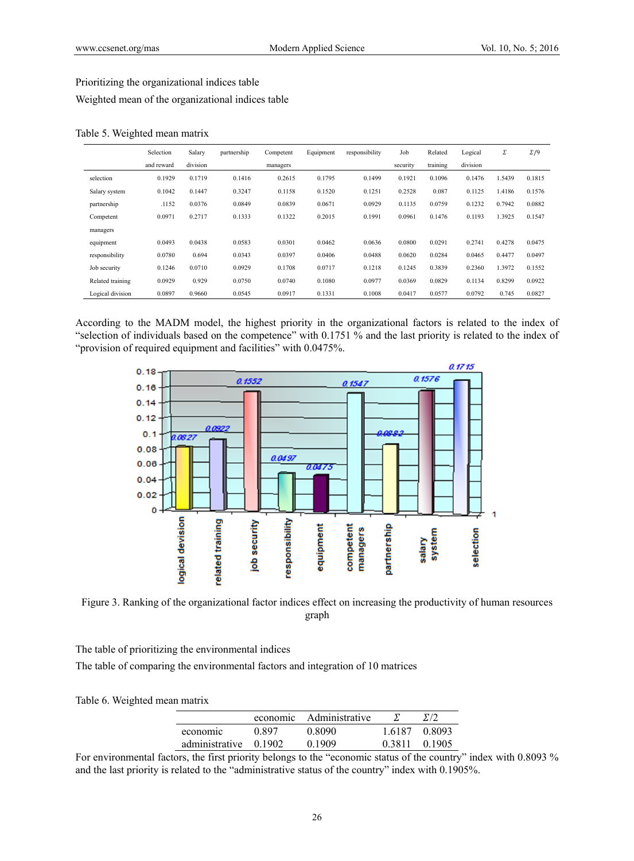# Prioritizing the organizational indices table

Weighted mean of the organizational indices table

Table 5. Weighted mean matrix

|                  | Selection  | Salary   | partnership | Competent | Equipment | responsibility | Job      | Related  | Logical  | Σ      | $\Sigma/9$ |
|------------------|------------|----------|-------------|-----------|-----------|----------------|----------|----------|----------|--------|------------|
|                  | and reward | division |             | managers  |           |                | security | training | division |        |            |
| selection        | 0.1929     | 0.1719   | 0.1416      | 0.2615    | 0.1795    | 0.1499         | 0.1921   | 0.1096   | 0.1476   | 1.5439 | 0.1815     |
| Salary system    | 0.1042     | 0.1447   | 0.3247      | 0.1158    | 0.1520    | 0.1251         | 0.2528   | 0.087    | 0.1125   | 1.4186 | 0.1576     |
| partnership      | .1152      | 0.0376   | 0.0849      | 0.0839    | 0.0671    | 0.0929         | 0.1135   | 0.0759   | 0.1232   | 0.7942 | 0.0882     |
| Competent        | 0.0971     | 0.2717   | 0.1333      | 0.1322    | 0.2015    | 0.1991         | 0.0961   | 0.1476   | 0.1193   | 1.3925 | 0.1547     |
| managers         |            |          |             |           |           |                |          |          |          |        |            |
| equipment        | 0.0493     | 0.0438   | 0.0583      | 0.0301    | 0.0462    | 0.0636         | 0.0800   | 0.0291   | 0.2741   | 0.4278 | 0.0475     |
| responsibility   | 0.0780     | 0.694    | 0.0343      | 0.0397    | 0.0406    | 0.0488         | 0.0620   | 0.0284   | 0.0465   | 0.4477 | 0.0497     |
| Job security     | 0.1246     | 0.0710   | 0.0929      | 0.1708    | 0.0717    | 0.1218         | 0.1245   | 0.3839   | 0.2360   | 1.3972 | 0.1552     |
| Related training | 0.0929     | 0.929    | 0.0750      | 0.0740    | 0.1080    | 0.0977         | 0.0369   | 0.0829   | 0.1134   | 0.8299 | 0.0922     |
| Logical division | 0.0897     | 0.9660   | 0.0545      | 0.0917    | 0.1331    | 0.1008         | 0.0417   | 0.0577   | 0.0792   | 0.745  | 0.0827     |

According to the MADM model, the highest priority in the organizational factors is related to the index of "selection of individuals based on the competence" with 0.1751 % and the last priority is related to the index of "provision of required equipment and facilities" with 0.0475%.



Figure 3. Ranking of the organizational factor indices effect on increasing the productivity of human resources graph

The table of prioritizing the environmental indices

The table of comparing the environmental factors and integration of 10 matrices

Table 6. Weighted mean matrix

|                       |       | economic Administrative |        |        |
|-----------------------|-------|-------------------------|--------|--------|
| economic              | 0.897 | 0.8090                  | 1.6187 | 0.8093 |
| administrative 0.1902 |       | 0.1909                  | 0.3811 | 0.1905 |

For environmental factors, the first priority belongs to the "economic status of the country" index with 0.8093 % and the last priority is related to the "administrative status of the country" index with 0.1905%.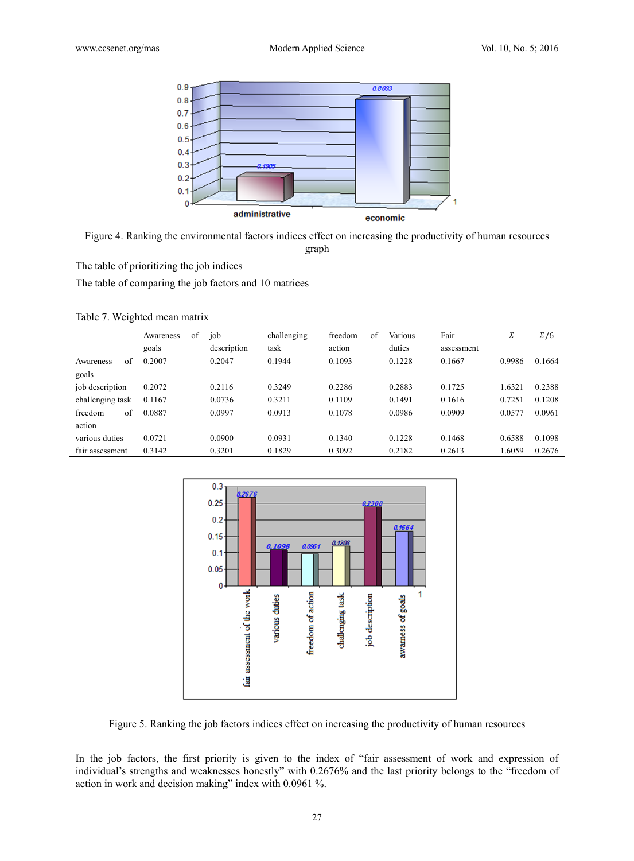

Figure 4. Ranking the environmental factors indices effect on increasing the productivity of human resources graph

The table of prioritizing the job indices

The table of comparing the job factors and 10 matrices

| Table 7. Weighted mean matrix |  |  |
|-------------------------------|--|--|
|-------------------------------|--|--|

|                  | of<br>Awareness | job         | challenging | of<br>freedom | Various | Fair       | Σ      | $\Sigma/6$ |
|------------------|-----------------|-------------|-------------|---------------|---------|------------|--------|------------|
|                  | goals           | description | task        | action        | duties  | assessment |        |            |
| of<br>Awareness  | 0.2007          | 0.2047      | 0.1944      | 0.1093        | 0.1228  | 0.1667     | 0.9986 | 0.1664     |
| goals            |                 |             |             |               |         |            |        |            |
| job description  | 0.2072          | 0.2116      | 0.3249      | 0.2286        | 0.2883  | 0.1725     | 1.6321 | 0.2388     |
| challenging task | 0.1167          | 0.0736      | 0.3211      | 0.1109        | 0.1491  | 0.1616     | 0.7251 | 0.1208     |
| of<br>freedom    | 0.0887          | 0.0997      | 0.0913      | 0.1078        | 0.0986  | 0.0909     | 0.0577 | 0.0961     |
| action           |                 |             |             |               |         |            |        |            |
| various duties   | 0.0721          | 0.0900      | 0.0931      | 0.1340        | 0.1228  | 0.1468     | 0.6588 | 0.1098     |
| fair assessment  | 0.3142          | 0.3201      | 0.1829      | 0.3092        | 0.2182  | 0.2613     | 1.6059 | 0.2676     |
|                  |                 |             |             |               |         |            |        |            |



Figure 5. Ranking the job factors indices effect on increasing the productivity of human resources

In the job factors, the first priority is given to the index of "fair assessment of work and expression of individual's strengths and weaknesses honestly" with 0.2676% and the last priority belongs to the "freedom of action in work and decision making" index with 0.0961 %.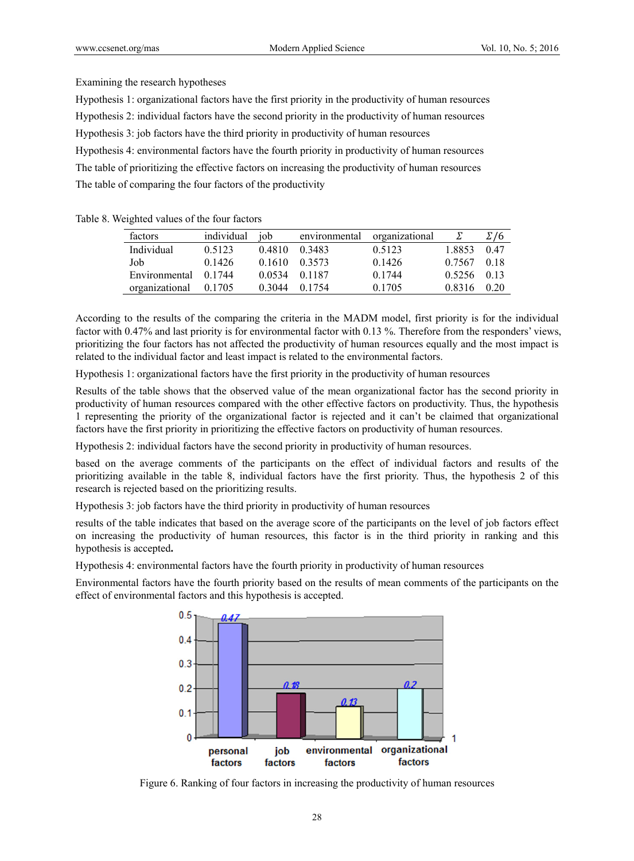Examining the research hypotheses

Hypothesis 1: organizational factors have the first priority in the productivity of human resources Hypothesis 2: individual factors have the second priority in the productivity of human resources Hypothesis 3: job factors have the third priority in productivity of human resources Hypothesis 4: environmental factors have the fourth priority in productivity of human resources The table of prioritizing the effective factors on increasing the productivity of human resources The table of comparing the four factors of the productivity

| factors        | individual | iob    | environmental | organizational |        | $\Sigma/6$ |
|----------------|------------|--------|---------------|----------------|--------|------------|
| Individual     | 0.5123     | 0.4810 | 0.3483        | 0.5123         | 1.8853 | 0.47       |
| Job            | 0.1426     | 0.1610 | 0.3573        | 0.1426         | 0.7567 | 0.18       |
| Environmental  | 0.1744     | 0.0534 | 0.1187        | 0.1744         | 0.5256 | 0.13       |
| organizational | 0.1705     | 0.3044 | 0.1754        | 0.1705         | 0.8316 | 0.20       |

Table 8. Weighted values of the four factors

According to the results of the comparing the criteria in the MADM model, first priority is for the individual factor with 0.47% and last priority is for environmental factor with 0.13 %. Therefore from the responders' views, prioritizing the four factors has not affected the productivity of human resources equally and the most impact is related to the individual factor and least impact is related to the environmental factors.

Hypothesis 1: organizational factors have the first priority in the productivity of human resources

Results of the table shows that the observed value of the mean organizational factor has the second priority in productivity of human resources compared with the other effective factors on productivity. Thus, the hypothesis 1 representing the priority of the organizational factor is rejected and it can't be claimed that organizational factors have the first priority in prioritizing the effective factors on productivity of human resources.

Hypothesis 2: individual factors have the second priority in productivity of human resources.

based on the average comments of the participants on the effect of individual factors and results of the prioritizing available in the table 8, individual factors have the first priority. Thus, the hypothesis 2 of this research is rejected based on the prioritizing results.

Hypothesis 3: job factors have the third priority in productivity of human resources

results of the table indicates that based on the average score of the participants on the level of job factors effect on increasing the productivity of human resources, this factor is in the third priority in ranking and this hypothesis is accepted**.** 

Hypothesis 4: environmental factors have the fourth priority in productivity of human resources

Environmental factors have the fourth priority based on the results of mean comments of the participants on the effect of environmental factors and this hypothesis is accepted.



Figure 6. Ranking of four factors in increasing the productivity of human resources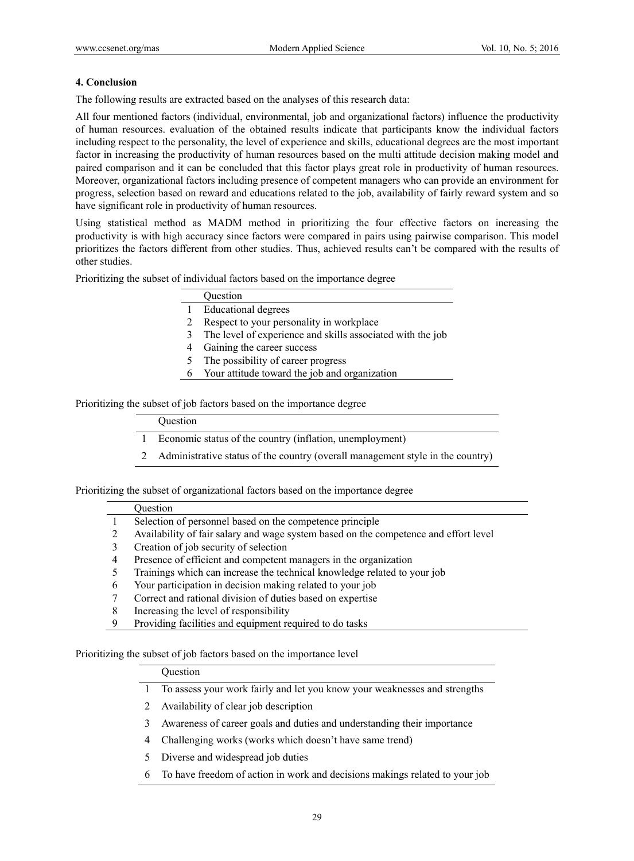# **4. Conclusion**

The following results are extracted based on the analyses of this research data:

All four mentioned factors (individual, environmental, job and organizational factors) influence the productivity of human resources. evaluation of the obtained results indicate that participants know the individual factors including respect to the personality, the level of experience and skills, educational degrees are the most important factor in increasing the productivity of human resources based on the multi attitude decision making model and paired comparison and it can be concluded that this factor plays great role in productivity of human resources. Moreover, organizational factors including presence of competent managers who can provide an environment for progress, selection based on reward and educations related to the job, availability of fairly reward system and so have significant role in productivity of human resources.

Using statistical method as MADM method in prioritizing the four effective factors on increasing the productivity is with high accuracy since factors were compared in pairs using pairwise comparison. This model prioritizes the factors different from other studies. Thus, achieved results can't be compared with the results of other studies.

Prioritizing the subset of individual factors based on the importance degree

| 10 n<br>IESI. |  |
|---------------|--|
|               |  |

- 1 Educational degrees
- 2 Respect to your personality in workplace
- 3 The level of experience and skills associated with the job
- 4 Gaining the career success
- 5 The possibility of career progress
- 6 Your attitude toward the job and organization

Prioritizing the subset of job factors based on the importance degree

**Ouestion** 

- 1 Economic status of the country (inflation, unemployment)
- 2 Administrative status of the country (overall management style in the country)

Prioritizing the subset of organizational factors based on the importance degree

|          | Question                                                                             |
|----------|--------------------------------------------------------------------------------------|
|          | Selection of personnel based on the competence principle                             |
| 2        | Availability of fair salary and wage system based on the competence and effort level |
|          | Creation of job security of selection                                                |
| 4        | Presence of efficient and competent managers in the organization                     |
|          | Trainings which can increase the technical knowledge related to your job             |
| $\sigma$ | Your participation in decision making related to your job                            |
|          | Correct and rational division of duties based on expertise                           |
| 8        | Increasing the level of responsibility                                               |
| 9        | Providing facilities and equipment required to do tasks                              |
|          |                                                                                      |

Prioritizing the subset of job factors based on the importance level

|               | Question                                                                    |
|---------------|-----------------------------------------------------------------------------|
|               | To assess your work fairly and let you know your weaknesses and strengths   |
| $\mathcal{L}$ | Availability of clear job description                                       |
| 3             | Awareness of career goals and duties and understanding their importance     |
| 4             | Challenging works (works which doesn't have same trend)                     |
|               | Diverse and widespread job duties                                           |
| 6.            | To have freedom of action in work and decisions makings related to your job |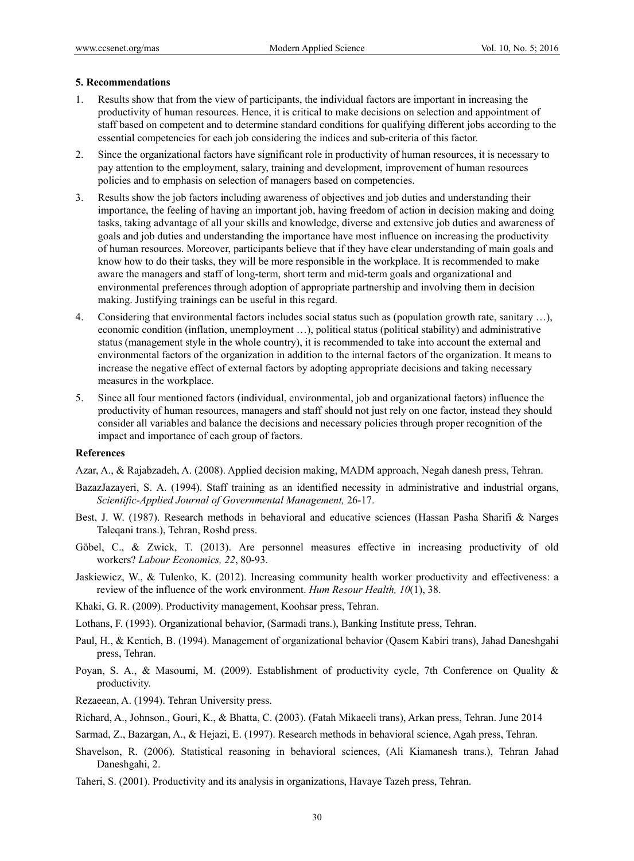#### **5. Recommendations**

- 1. Results show that from the view of participants, the individual factors are important in increasing the productivity of human resources. Hence, it is critical to make decisions on selection and appointment of staff based on competent and to determine standard conditions for qualifying different jobs according to the essential competencies for each job considering the indices and sub-criteria of this factor.
- 2. Since the organizational factors have significant role in productivity of human resources, it is necessary to pay attention to the employment, salary, training and development, improvement of human resources policies and to emphasis on selection of managers based on competencies.
- 3. Results show the job factors including awareness of objectives and job duties and understanding their importance, the feeling of having an important job, having freedom of action in decision making and doing tasks, taking advantage of all your skills and knowledge, diverse and extensive job duties and awareness of goals and job duties and understanding the importance have most influence on increasing the productivity of human resources. Moreover, participants believe that if they have clear understanding of main goals and know how to do their tasks, they will be more responsible in the workplace. It is recommended to make aware the managers and staff of long-term, short term and mid-term goals and organizational and environmental preferences through adoption of appropriate partnership and involving them in decision making. Justifying trainings can be useful in this regard.
- 4. Considering that environmental factors includes social status such as (population growth rate, sanitary …), economic condition (inflation, unemployment …), political status (political stability) and administrative status (management style in the whole country), it is recommended to take into account the external and environmental factors of the organization in addition to the internal factors of the organization. It means to increase the negative effect of external factors by adopting appropriate decisions and taking necessary measures in the workplace.
- 5. Since all four mentioned factors (individual, environmental, job and organizational factors) influence the productivity of human resources, managers and staff should not just rely on one factor, instead they should consider all variables and balance the decisions and necessary policies through proper recognition of the impact and importance of each group of factors.

#### **References**

Azar, A., & Rajabzadeh, A. (2008). Applied decision making, MADM approach, Negah danesh press, Tehran.

- BazazJazayeri, S. A. (1994). Staff training as an identified necessity in administrative and industrial organs, *Scientific-Applied Journal of Governmental Management,* 26-17.
- Best, J. W. (1987). Research methods in behavioral and educative sciences (Hassan Pasha Sharifi & Narges Taleqani trans.), Tehran, Roshd press.
- Göbel, C., & Zwick, T. (2013). Are personnel measures effective in increasing productivity of old workers? *Labour Economics, 22*, 80-93.
- Jaskiewicz, W., & Tulenko, K. (2012). Increasing community health worker productivity and effectiveness: a review of the influence of the work environment. *Hum Resour Health, 10*(1), 38.
- Khaki, G. R. (2009). Productivity management, Koohsar press, Tehran.
- Lothans, F. (1993). Organizational behavior, (Sarmadi trans.), Banking Institute press, Tehran.
- Paul, H., & Kentich, B. (1994). Management of organizational behavior (Qasem Kabiri trans), Jahad Daneshgahi press, Tehran.
- Poyan, S. A., & Masoumi, M. (2009). Establishment of productivity cycle, 7th Conference on Quality & productivity.
- Rezaeean, A. (1994). Tehran University press.
- Richard, A., Johnson., Gouri, K., & Bhatta, C. (2003). (Fatah Mikaeeli trans), Arkan press, Tehran. June 2014
- Sarmad, Z., Bazargan, A., & Hejazi, E. (1997). Research methods in behavioral science, Agah press, Tehran.
- Shavelson, R. (2006). Statistical reasoning in behavioral sciences, (Ali Kiamanesh trans.), Tehran Jahad Daneshgahi, 2.
- Taheri, S. (2001). Productivity and its analysis in organizations, Havaye Tazeh press, Tehran.